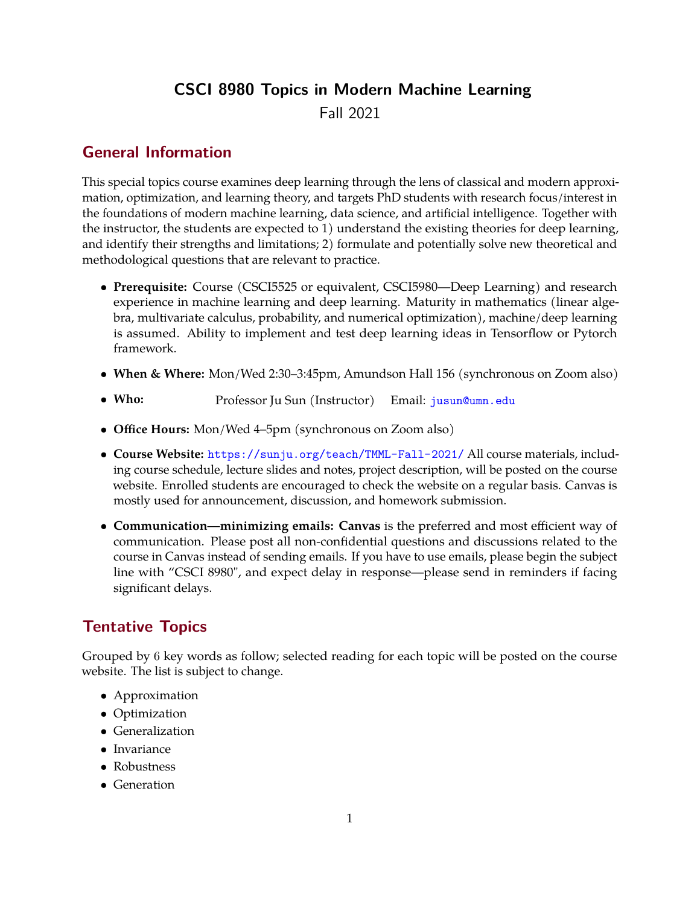# **CSCI 8980 Topics in Modern Machine Learning**

Fall 2021

## **General Information**

This special topics course examines deep learning through the lens of classical and modern approximation, optimization, and learning theory, and targets PhD students with research focus/interest in the foundations of modern machine learning, data science, and artificial intelligence. Together with the instructor, the students are expected to 1) understand the existing theories for deep learning, and identify their strengths and limitations; 2) formulate and potentially solve new theoretical and methodological questions that are relevant to practice.

- **Prerequisite:** Course (CSCI5525 or equivalent, CSCI5980—Deep Learning) and research experience in machine learning and deep learning. Maturity in mathematics (linear algebra, multivariate calculus, probability, and numerical optimization), machine/deep learning is assumed. Ability to implement and test deep learning ideas in Tensorflow or Pytorch framework.
- **When & Where:** Mon/Wed 2:30–3:45pm, Amundson Hall 156 (synchronous on Zoom also)
- **Who:** Professor Ju Sun (Instructor) Email: [jusun@umn.edu](mailto:jusun@umn.edu)
- **Office Hours:** Mon/Wed 4–5pm (synchronous on Zoom also)
- **Course Website:** <https://sunju.org/teach/TMML-Fall-2021/> All course materials, including course schedule, lecture slides and notes, project description, will be posted on the course website. Enrolled students are encouraged to check the website on a regular basis. Canvas is mostly used for announcement, discussion, and homework submission.
- **Communication—minimizing emails: Canvas** is the preferred and most efficient way of communication. Please post all non-confidential questions and discussions related to the course in Canvas instead of sending emails. If you have to use emails, please begin the subject line with "CSCI 8980", and expect delay in response—please send in reminders if facing significant delays.

# **Tentative Topics**

Grouped by 6 key words as follow; selected reading for each topic will be posted on the course website. The list is subject to change.

- Approximation
- Optimization
- Generalization
- Invariance
- Robustness
- Generation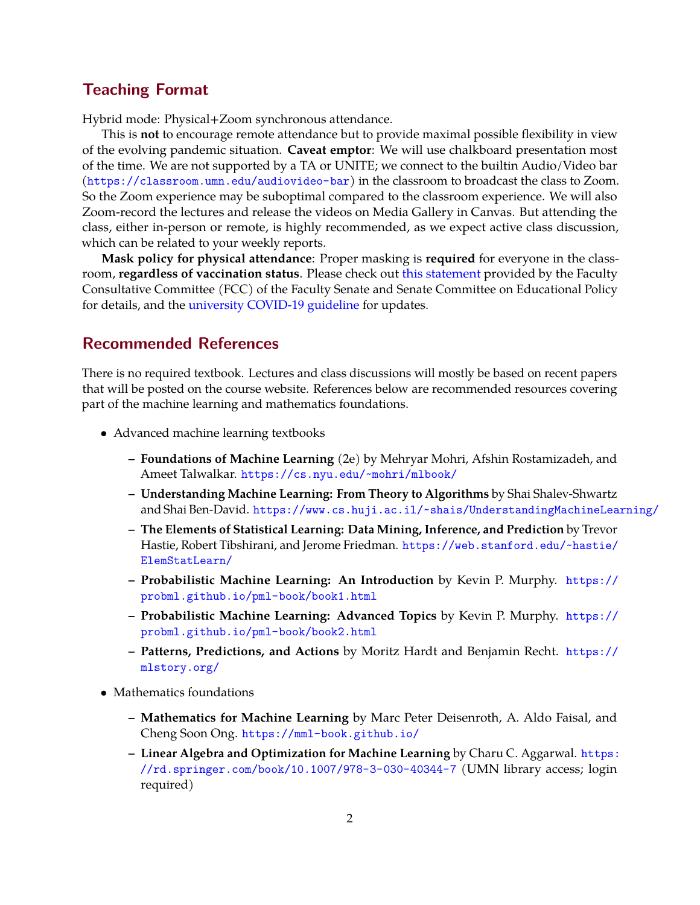#### **Teaching Format**

Hybrid mode: Physical+Zoom synchronous attendance.

This is **not** to encourage remote attendance but to provide maximal possible flexibility in view of the evolving pandemic situation. **Caveat emptor**: We will use chalkboard presentation most of the time. We are not supported by a TA or UNITE; we connect to the builtin Audio/Video bar (<https://classroom.umn.edu/audiovideo-bar>) in the classroom to broadcast the class to Zoom. So the Zoom experience may be suboptimal compared to the classroom experience. We will also Zoom-record the lectures and release the videos on Media Gallery in Canvas. But attending the class, either in-person or remote, is highly recommended, as we expect active class discussion, which can be related to your weekly reports.

**Mask policy for physical attendance**: Proper masking is **required** for everyone in the classroom, **regardless of vaccination status**. Please check out [this statement](https://docs.google.com/document/d/1sc_wcOe3fmhVcAvaoyoJaKbTxKL7rdh699BlbWrGYBA/edit?usp=sharing) provided by the Faculty Consultative Committee (FCC) of the Faculty Senate and Senate Committee on Educational Policy for details, and the [university COVID-19 guideline](https://safe-campus.umn.edu/return-campus/covid-19-updates) for updates.

#### **Recommended References**

There is no required textbook. Lectures and class discussions will mostly be based on recent papers that will be posted on the course website. References below are recommended resources covering part of the machine learning and mathematics foundations.

- Advanced machine learning textbooks
	- **– Foundations of Machine Learning** (2e) by Mehryar Mohri, Afshin Rostamizadeh, and Ameet Talwalkar. <https://cs.nyu.edu/~mohri/mlbook/>
	- **– Understanding Machine Learning: From Theory to Algorithms** by Shai Shalev-Shwartz and Shai Ben-David. <https://www.cs.huji.ac.il/~shais/UnderstandingMachineLearning/>
	- **– The Elements of Statistical Learning: Data Mining, Inference, and Prediction** by Trevor Hastie, Robert Tibshirani, and Jerome Friedman. [https://web.stanford.edu/~hastie/](https://web.stanford.edu/~hastie/ElemStatLearn/) [ElemStatLearn/](https://web.stanford.edu/~hastie/ElemStatLearn/)
	- **– Probabilistic Machine Learning: An Introduction** by Kevin P. Murphy. [https://](https://probml.github.io/pml-book/book1.html) [probml.github.io/pml-book/book1.html](https://probml.github.io/pml-book/book1.html)
	- **– Probabilistic Machine Learning: Advanced Topics** by Kevin P. Murphy. [https://](https://probml.github.io/pml-book/book2.html) [probml.github.io/pml-book/book2.html](https://probml.github.io/pml-book/book2.html)
	- **– Patterns, Predictions, and Actions** by Moritz Hardt and Benjamin Recht. [https://](https://mlstory.org/) [mlstory.org/](https://mlstory.org/)
- Mathematics foundations
	- **– Mathematics for Machine Learning** by Marc Peter Deisenroth, A. Aldo Faisal, and Cheng Soon Ong. <https://mml-book.github.io/>
	- **– Linear Algebra and Optimization for Machine Learning** by Charu C. Aggarwal. [https:](https://rd.springer.com/book/10.1007/978-3-030-40344-7) [//rd.springer.com/book/10.1007/978-3-030-40344-7](https://rd.springer.com/book/10.1007/978-3-030-40344-7) (UMN library access; login required)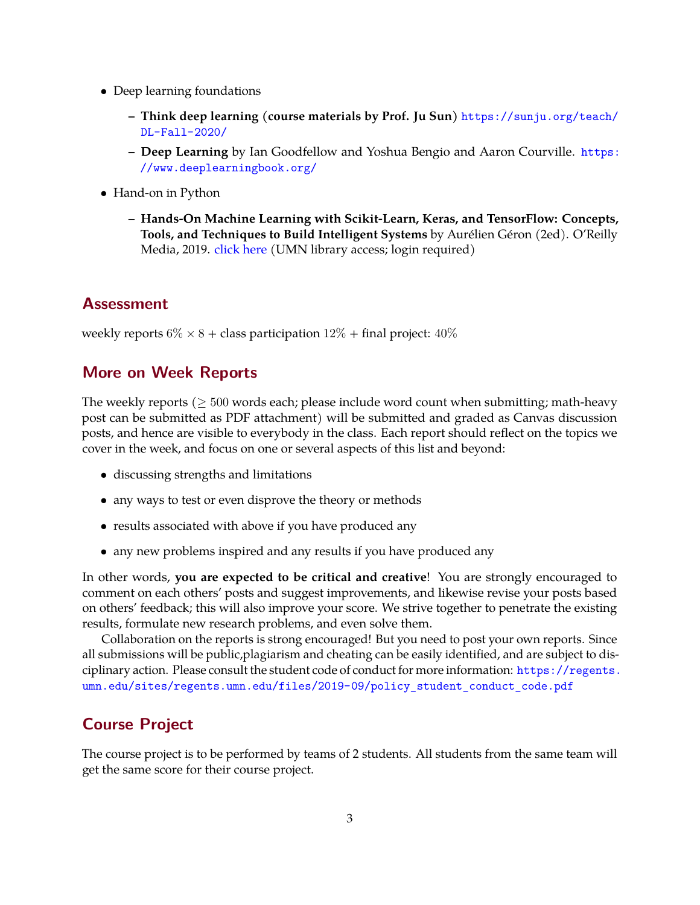- Deep learning foundations
	- **– Think deep learning (course materials by Prof. Ju Sun)** [https://sunju.org/teach/](https://sunju.org/teach/DL-Fall-2020/) [DL-Fall-2020/](https://sunju.org/teach/DL-Fall-2020/)
	- **– Deep Learning** by Ian Goodfellow and Yoshua Bengio and Aaron Courville. [https:](https://www.deeplearningbook.org/) [//www.deeplearningbook.org/](https://www.deeplearningbook.org/)
- Hand-on in Python
	- **– Hands-On Machine Learning with Scikit-Learn, Keras, and TensorFlow: Concepts, Tools, and Techniques to Build Intelligent Systems** by Aurélien Géron (2ed). O'Reilly Media, 2019. [click here](https://primo.lib.umn.edu/permalink/f/1q7ssba/UMN_ALMA51785209710001701 ) (UMN library access; login required)

#### **Assessment**

weekly reports  $6\% \times 8 +$  class participation  $12\% +$  final project:  $40\%$ 

#### **More on Week Reports**

The weekly reports ( $\geq 500$  words each; please include word count when submitting; math-heavy post can be submitted as PDF attachment) will be submitted and graded as Canvas discussion posts, and hence are visible to everybody in the class. Each report should reflect on the topics we cover in the week, and focus on one or several aspects of this list and beyond:

- discussing strengths and limitations
- any ways to test or even disprove the theory or methods
- results associated with above if you have produced any
- any new problems inspired and any results if you have produced any

In other words, **you are expected to be critical and creative**! You are strongly encouraged to comment on each others' posts and suggest improvements, and likewise revise your posts based on others' feedback; this will also improve your score. We strive together to penetrate the existing results, formulate new research problems, and even solve them.

Collaboration on the reports is strong encouraged! But you need to post your own reports. Since all submissions will be public,plagiarism and cheating can be easily identified, and are subject to disciplinary action. Please consult the student code of conduct for more information: [https://regents.](https://regents.umn.edu/sites/regents.umn.edu/files/2019-09/policy_student_conduct_code.pdf) [umn.edu/sites/regents.umn.edu/files/2019-09/policy\\_student\\_conduct\\_code.pdf](https://regents.umn.edu/sites/regents.umn.edu/files/2019-09/policy_student_conduct_code.pdf)

### **Course Project**

The course project is to be performed by teams of 2 students. All students from the same team will get the same score for their course project.